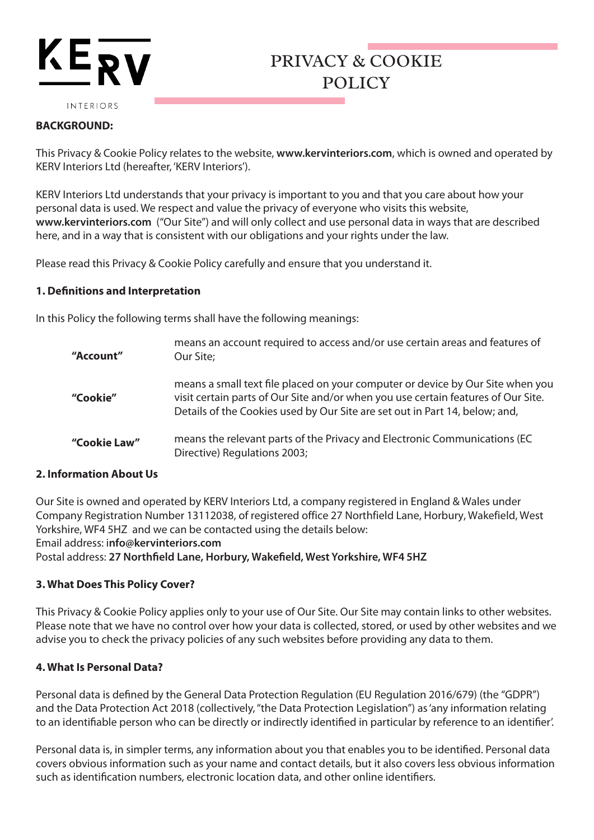# **KEP**

#### INTERIORS

### **BACKGROUND:**

This Privacy & Cookie Policy relates to the website, **www.kervinteriors.com**, which is owned and operated by KERV Interiors Ltd (hereafter, 'KERV Interiors').

PRIVACY & COOKIE

POLICY

KERV Interiors Ltd understands that your privacy is important to you and that you care about how your personal data is used. We respect and value the privacy of everyone who visits this website, **www.kervinteriors.com** ("Our Site") and will only collect and use personal data in ways that are described here, and in a way that is consistent with our obligations and your rights under the law.

Please read this Privacy & Cookie Policy carefully and ensure that you understand it.

#### **1. Definitions and Interpretation**

In this Policy the following terms shall have the following meanings:

| "Account"    | means an account required to access and/or use certain areas and features of<br>Our Site;                                                                                                                                                          |
|--------------|----------------------------------------------------------------------------------------------------------------------------------------------------------------------------------------------------------------------------------------------------|
| "Cookie"     | means a small text file placed on your computer or device by Our Site when you<br>visit certain parts of Our Site and/or when you use certain features of Our Site.<br>Details of the Cookies used by Our Site are set out in Part 14, below; and, |
| "Cookie Law" | means the relevant parts of the Privacy and Electronic Communications (EC<br>Directive) Regulations 2003;                                                                                                                                          |

## **2. Information About Us**

Our Site is owned and operated by KERV Interiors Ltd, a company registered in England & Wales under Company Registration Number 13112038, of registered office 27 Northfield Lane, Horbury, Wakefield, West Yorkshire, WF4 5HZ and we can be contacted using the details below: Email address: i**nfo@kervinteriors.com**

Postal address: **27 Northfield Lane, Horbury, Wakefield, West Yorkshire, WF4 5HZ**

## **3. What Does This Policy Cover?**

This Privacy & Cookie Policy applies only to your use of Our Site. Our Site may contain links to other websites. Please note that we have no control over how your data is collected, stored, or used by other websites and we advise you to check the privacy policies of any such websites before providing any data to them.

## **4. What Is Personal Data?**

Personal data is defined by the General Data Protection Regulation (EU Regulation 2016/679) (the "GDPR") and the Data Protection Act 2018 (collectively, "the Data Protection Legislation") as 'any information relating to an identifiable person who can be directly or indirectly identified in particular by reference to an identifier'.

Personal data is, in simpler terms, any information about you that enables you to be identified. Personal data covers obvious information such as your name and contact details, but it also covers less obvious information such as identification numbers, electronic location data, and other online identifiers.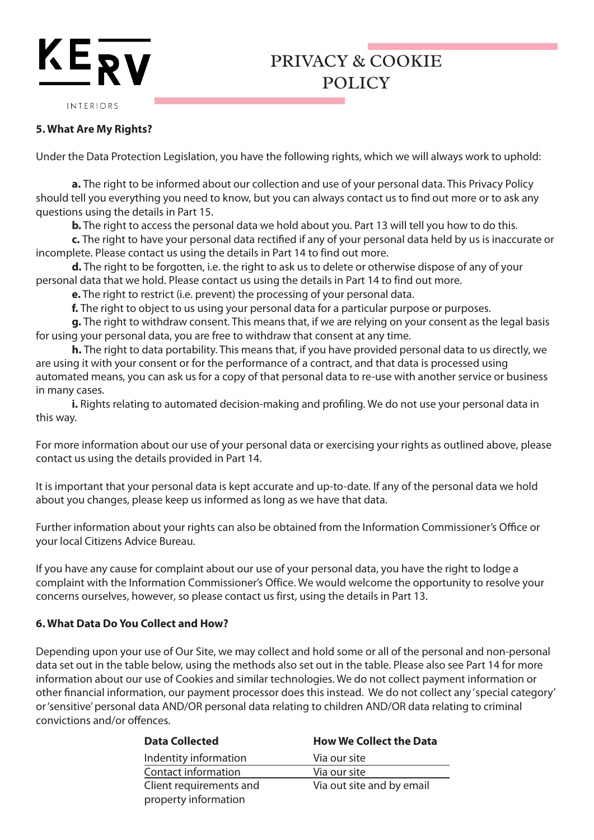## PRIVACY & COOKIE POLICY

INTERIORS

KER

### **5. What Are My Rights?**

Under the Data Protection Legislation, you have the following rights, which we will always work to uphold:

**a.** The right to be informed about our collection and use of your personal data. This Privacy Policy should tell you everything you need to know, but you can always contact us to find out more or to ask any questions using the details in Part 15.

**b.** The right to access the personal data we hold about you. Part 13 will tell you how to do this.

**c.** The right to have your personal data rectified if any of your personal data held by us is inaccurate or incomplete. Please contact us using the details in Part 14 to find out more.

**d.** The right to be forgotten, i.e. the right to ask us to delete or otherwise dispose of any of your personal data that we hold. Please contact us using the details in Part 14 to find out more.

**e.** The right to restrict (i.e. prevent) the processing of your personal data.

**f.** The right to object to us using your personal data for a particular purpose or purposes.

**g.** The right to withdraw consent. This means that, if we are relying on your consent as the legal basis for using your personal data, you are free to withdraw that consent at any time.

**h.** The right to data portability. This means that, if you have provided personal data to us directly, we are using it with your consent or for the performance of a contract, and that data is processed using automated means, you can ask us for a copy of that personal data to re-use with another service or business in many cases.

**i.** Rights relating to automated decision-making and profiling. We do not use your personal data in this way.

For more information about our use of your personal data or exercising your rights as outlined above, please contact us using the details provided in Part 14.

It is important that your personal data is kept accurate and up-to-date. If any of the personal data we hold about you changes, please keep us informed as long as we have that data.

Further information about your rights can also be obtained from the Information Commissioner's Office or your local Citizens Advice Bureau.

If you have any cause for complaint about our use of your personal data, you have the right to lodge a complaint with the Information Commissioner's Office. We would welcome the opportunity to resolve your concerns ourselves, however, so please contact us first, using the details in Part 13.

#### **6. What Data Do You Collect and How?**

Depending upon your use of Our Site, we may collect and hold some or all of the personal and non-personal data set out in the table below, using the methods also set out in the table. Please also see Part 14 for more information about our use of Cookies and similar technologies. We do not collect payment information or other financial information, our payment processor does this instead. We do not collect any 'special category' or 'sensitive' personal data AND/OR personal data relating to children AND/OR data relating to criminal convictions and/or offences.

| <b>Data Collected</b>   | <b>How We Collect the Data</b> |  |
|-------------------------|--------------------------------|--|
| Indentity information   | Via our site                   |  |
| Contact information     | Via our site                   |  |
| Client requirements and | Via out site and by email      |  |
| property information    |                                |  |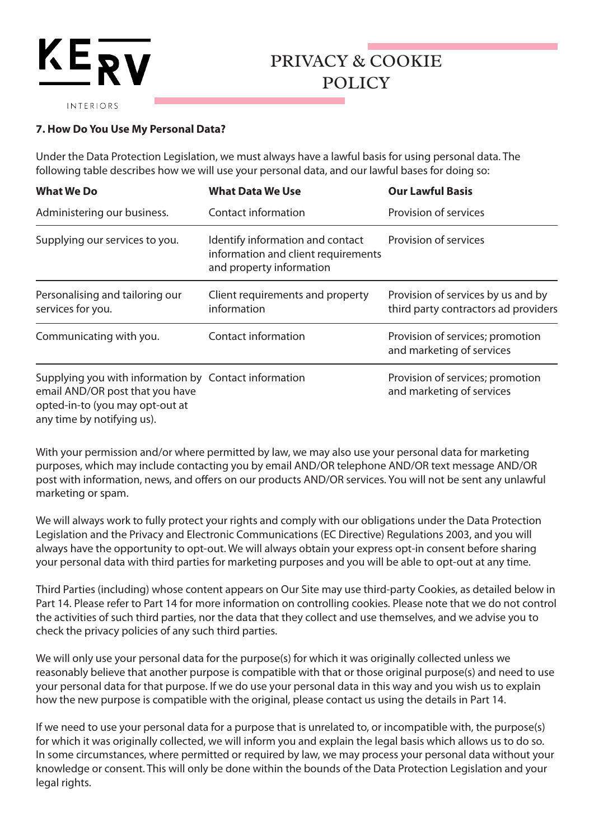# KERI

## PRIVACY & COOKIE POLICY

INTERIORS

## **7. How Do You Use My Personal Data?**

Under the Data Protection Legislation, we must always have a lawful basis for using personal data. The following table describes how we will use your personal data, and our lawful bases for doing so:

| <b>What We Do</b>                                                                                                                                         | <b>What Data We Use</b>                                                                             | <b>Our Lawful Basis</b>                                                    |
|-----------------------------------------------------------------------------------------------------------------------------------------------------------|-----------------------------------------------------------------------------------------------------|----------------------------------------------------------------------------|
| Administering our business.                                                                                                                               | <b>Contact information</b>                                                                          | Provision of services                                                      |
| Supplying our services to you.                                                                                                                            | Identify information and contact<br>information and client requirements<br>and property information | Provision of services                                                      |
| Personalising and tailoring our<br>services for you.                                                                                                      | Client requirements and property<br>information                                                     | Provision of services by us and by<br>third party contractors ad providers |
| Communicating with you.                                                                                                                                   | Contact information                                                                                 | Provision of services; promotion<br>and marketing of services              |
| Supplying you with information by Contact information<br>email AND/OR post that you have<br>opted-in-to (you may opt-out at<br>any time by notifying us). |                                                                                                     | Provision of services; promotion<br>and marketing of services              |

With your permission and/or where permitted by law, we may also use your personal data for marketing purposes, which may include contacting you by email AND/OR telephone AND/OR text message AND/OR post with information, news, and offers on our products AND/OR services. You will not be sent any unlawful marketing or spam.

We will always work to fully protect your rights and comply with our obligations under the Data Protection Legislation and the Privacy and Electronic Communications (EC Directive) Regulations 2003, and you will always have the opportunity to opt-out. We will always obtain your express opt-in consent before sharing your personal data with third parties for marketing purposes and you will be able to opt-out at any time.

Third Parties (including) whose content appears on Our Site may use third-party Cookies, as detailed below in Part 14. Please refer to Part 14 for more information on controlling cookies. Please note that we do not control the activities of such third parties, nor the data that they collect and use themselves, and we advise you to check the privacy policies of any such third parties.

We will only use your personal data for the purpose(s) for which it was originally collected unless we reasonably believe that another purpose is compatible with that or those original purpose(s) and need to use your personal data for that purpose. If we do use your personal data in this way and you wish us to explain how the new purpose is compatible with the original, please contact us using the details in Part 14.

If we need to use your personal data for a purpose that is unrelated to, or incompatible with, the purpose(s) for which it was originally collected, we will inform you and explain the legal basis which allows us to do so. In some circumstances, where permitted or required by law, we may process your personal data without your knowledge or consent. This will only be done within the bounds of the Data Protection Legislation and your legal rights.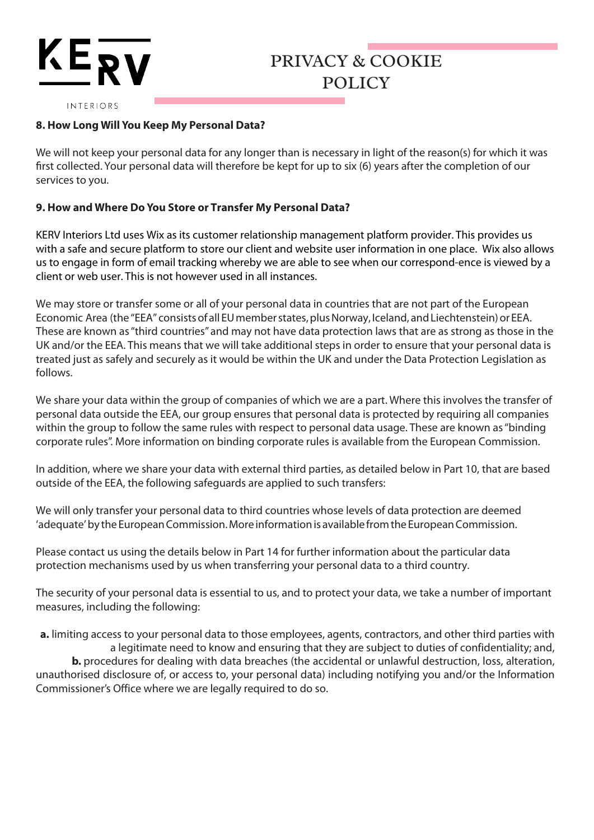# **KEP**

## PRIVACY & COOKIE POLICY

INTERIORS

## **8. How Long Will You Keep My Personal Data?**

We will not keep your personal data for any longer than is necessary in light of the reason(s) for which it was first collected. Your personal data will therefore be kept for up to six (6) years after the completion of our services to you.

## **9. How and Where Do You Store or Transfer My Personal Data?**

KERV Interiors Ltd uses Wix as its customer relationship management platform provider. This provides us with a safe and secure platform to store our client and website user information in one place. Wix also allows us to engage in form of email tracking whereby we are able to see when our correspond-ence is viewed by a client or web user. This is not however used in all instances.

We may store or transfer some or all of your personal data in countries that are not part of the European Economic Area (the "EEA" consists of all EU member states, plus Norway, Iceland, and Liechtenstein) or EEA. These are known as "third countries" and may not have data protection laws that are as strong as those in the UK and/or the EEA. This means that we will take additional steps in order to ensure that your personal data is treated just as safely and securely as it would be within the UK and under the Data Protection Legislation as follows.

We share your data within the group of companies of which we are a part. Where this involves the transfer of personal data outside the EEA, our group ensures that personal data is protected by requiring all companies within the group to follow the same rules with respect to personal data usage. These are known as "binding corporate rules". More information on binding corporate rules is available from the European Commission.

In addition, where we share your data with external third parties, as detailed below in Part 10, that are based outside of the EEA, the following safeguards are applied to such transfers:

We will only transfer your personal data to third countries whose levels of data protection are deemed 'adequate' by the European Commission. More information is available from the European Commission.

Please contact us using the details below in Part 14 for further information about the particular data protection mechanisms used by us when transferring your personal data to a third country.

The security of your personal data is essential to us, and to protect your data, we take a number of important measures, including the following:

**a.** limiting access to your personal data to those employees, agents, contractors, and other third parties with a legitimate need to know and ensuring that they are subject to duties of confidentiality; and, **b.** procedures for dealing with data breaches (the accidental or unlawful destruction, loss, alteration, unauthorised disclosure of, or access to, your personal data) including notifying you and/or the Information Commissioner's Office where we are legally required to do so.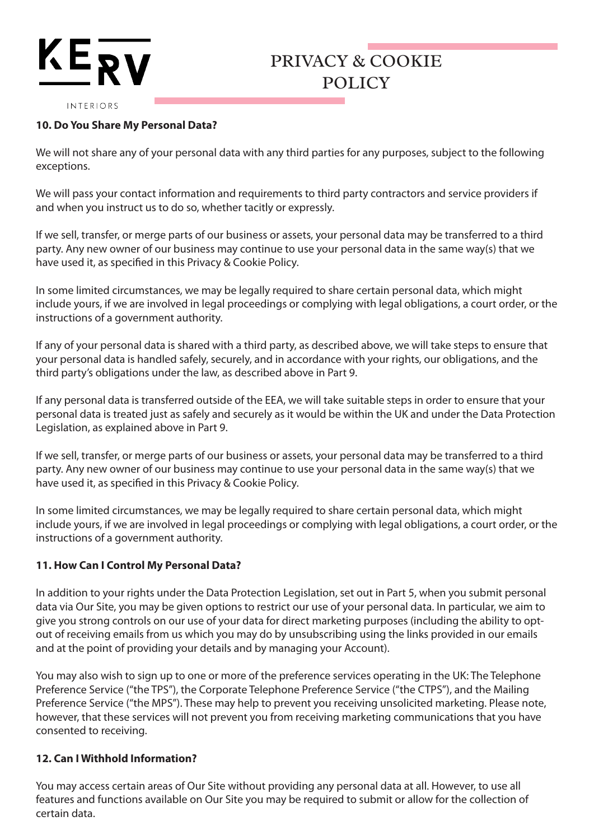# $KE_2$

## PRIVACY & COOKIE POLICY

#### INTERIORS

## **10. Do You Share My Personal Data?**

We will not share any of your personal data with any third parties for any purposes, subject to the following exceptions.

We will pass your contact information and requirements to third party contractors and service providers if and when you instruct us to do so, whether tacitly or expressly.

If we sell, transfer, or merge parts of our business or assets, your personal data may be transferred to a third party. Any new owner of our business may continue to use your personal data in the same way(s) that we have used it, as specified in this Privacy & Cookie Policy.

In some limited circumstances, we may be legally required to share certain personal data, which might include yours, if we are involved in legal proceedings or complying with legal obligations, a court order, or the instructions of a government authority.

If any of your personal data is shared with a third party, as described above, we will take steps to ensure that your personal data is handled safely, securely, and in accordance with your rights, our obligations, and the third party's obligations under the law, as described above in Part 9.

If any personal data is transferred outside of the EEA, we will take suitable steps in order to ensure that your personal data is treated just as safely and securely as it would be within the UK and under the Data Protection Legislation, as explained above in Part 9.

If we sell, transfer, or merge parts of our business or assets, your personal data may be transferred to a third party. Any new owner of our business may continue to use your personal data in the same way(s) that we have used it, as specified in this Privacy & Cookie Policy.

In some limited circumstances, we may be legally required to share certain personal data, which might include yours, if we are involved in legal proceedings or complying with legal obligations, a court order, or the instructions of a government authority.

## **11. How Can I Control My Personal Data?**

In addition to your rights under the Data Protection Legislation, set out in Part 5, when you submit personal data via Our Site, you may be given options to restrict our use of your personal data. In particular, we aim to give you strong controls on our use of your data for direct marketing purposes (including the ability to optout of receiving emails from us which you may do by unsubscribing using the links provided in our emails and at the point of providing your details and by managing your Account).

You may also wish to sign up to one or more of the preference services operating in the UK: The Telephone Preference Service ("the TPS"), the Corporate Telephone Preference Service ("the CTPS"), and the Mailing Preference Service ("the MPS"). These may help to prevent you receiving unsolicited marketing. Please note, however, that these services will not prevent you from receiving marketing communications that you have consented to receiving.

## **12. Can I Withhold Information?**

You may access certain areas of Our Site without providing any personal data at all. However, to use all features and functions available on Our Site you may be required to submit or allow for the collection of certain data.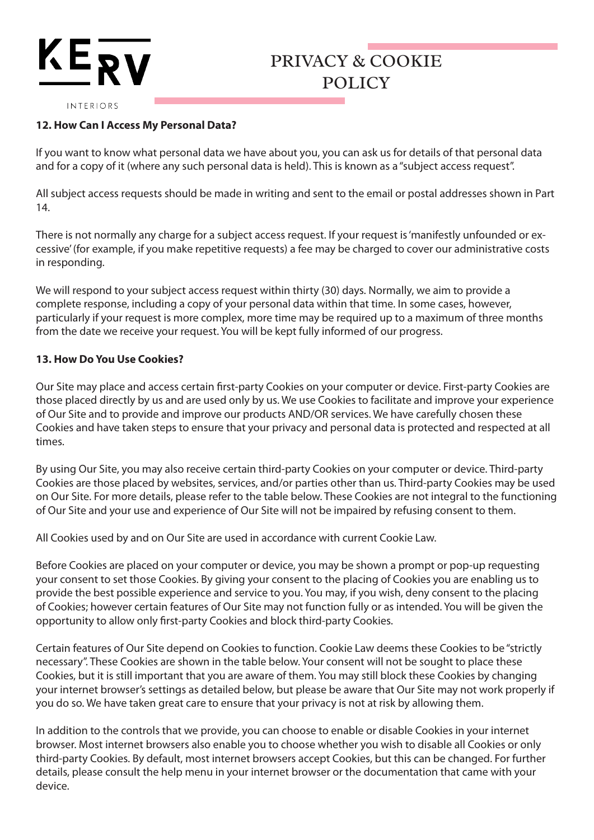# $KE_{\bf RV}$

## PRIVACY & COOKIE POLICY

#### INTERIORS

## **12. How Can I Access My Personal Data?**

If you want to know what personal data we have about you, you can ask us for details of that personal data and for a copy of it (where any such personal data is held). This is known as a "subject access request".

All subject access requests should be made in writing and sent to the email or postal addresses shown in Part 14.

There is not normally any charge for a subject access request. If your request is 'manifestly unfounded or excessive' (for example, if you make repetitive requests) a fee may be charged to cover our administrative costs in responding.

We will respond to your subject access request within thirty (30) days. Normally, we aim to provide a complete response, including a copy of your personal data within that time. In some cases, however, particularly if your request is more complex, more time may be required up to a maximum of three months from the date we receive your request. You will be kept fully informed of our progress.

## **13. How Do You Use Cookies?**

Our Site may place and access certain first-party Cookies on your computer or device. First-party Cookies are those placed directly by us and are used only by us. We use Cookies to facilitate and improve your experience of Our Site and to provide and improve our products AND/OR services. We have carefully chosen these Cookies and have taken steps to ensure that your privacy and personal data is protected and respected at all times.

By using Our Site, you may also receive certain third-party Cookies on your computer or device. Third-party Cookies are those placed by websites, services, and/or parties other than us. Third-party Cookies may be used on Our Site. For more details, please refer to the table below. These Cookies are not integral to the functioning of Our Site and your use and experience of Our Site will not be impaired by refusing consent to them.

All Cookies used by and on Our Site are used in accordance with current Cookie Law.

Before Cookies are placed on your computer or device, you may be shown a prompt or pop-up requesting your consent to set those Cookies. By giving your consent to the placing of Cookies you are enabling us to provide the best possible experience and service to you. You may, if you wish, deny consent to the placing of Cookies; however certain features of Our Site may not function fully or as intended. You will be given the opportunity to allow only first-party Cookies and block third-party Cookies.

Certain features of Our Site depend on Cookies to function. Cookie Law deems these Cookies to be "strictly necessary". These Cookies are shown in the table below. Your consent will not be sought to place these Cookies, but it is still important that you are aware of them. You may still block these Cookies by changing your internet browser's settings as detailed below, but please be aware that Our Site may not work properly if you do so. We have taken great care to ensure that your privacy is not at risk by allowing them.

In addition to the controls that we provide, you can choose to enable or disable Cookies in your internet browser. Most internet browsers also enable you to choose whether you wish to disable all Cookies or only third-party Cookies. By default, most internet browsers accept Cookies, but this can be changed. For further details, please consult the help menu in your internet browser or the documentation that came with your device.